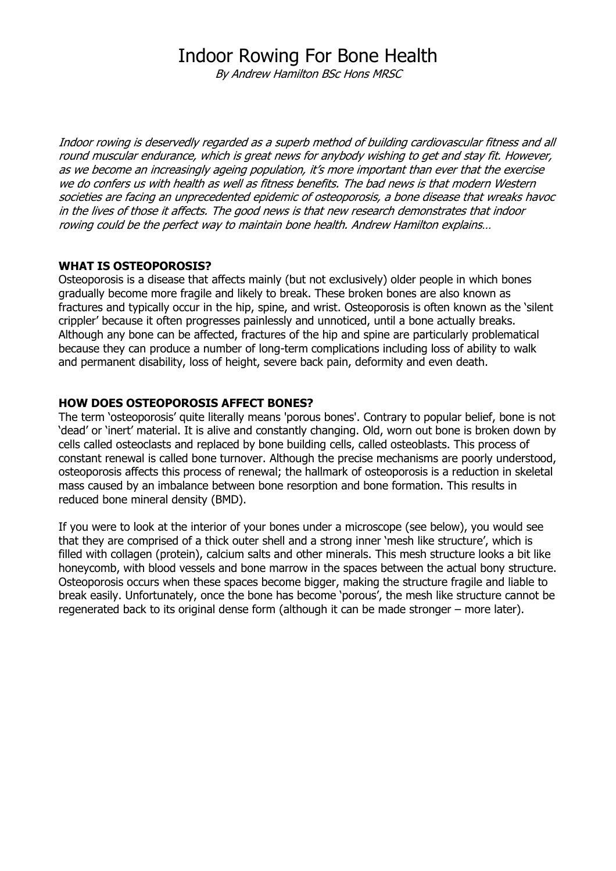Indoor rowing is deservedly regarded as a superb method of building cardiovascular fitness and all round muscular endurance, which is great news for anybody wishing to get and stay fit. However, as we become an increasingly ageing population, it's more important than ever that the exercise we do confers us with health as well as fitness benefits. The bad news is that modern Western societies are facing an unprecedented epidemic of osteoporosis, a bone disease that wreaks havoc in the lives of those it affects. The good news is that new research demonstrates that indoor rowing could be the perfect way to maintain bone health. Andrew Hamilton explains…

## WHAT IS OSTEOPOROSIS?

Osteoporosis is a disease that affects mainly (but not exclusively) older people in which bones gradually become more fragile and likely to break. These broken bones are also known as fractures and typically occur in the hip, spine, and wrist. Osteoporosis is often known as the 'silent crippler' because it often progresses painlessly and unnoticed, until a bone actually breaks. Although any bone can be affected, fractures of the hip and spine are particularly problematical because they can produce a number of long-term complications including loss of ability to walk and permanent disability, loss of height, severe back pain, deformity and even death.

## HOW DOES OSTEOPOROSIS AFFECT BONES?

The term 'osteoporosis' quite literally means 'porous bones'. Contrary to popular belief, bone is not 'dead' or 'inert' material. It is alive and constantly changing. Old, worn out bone is broken down by cells called osteoclasts and replaced by bone building cells, called osteoblasts. This process of constant renewal is called bone turnover. Although the precise mechanisms are poorly understood, osteoporosis affects this process of renewal; the hallmark of osteoporosis is a reduction in skeletal mass caused by an imbalance between bone resorption and bone formation. This results in reduced bone mineral density (BMD).

If you were to look at the interior of your bones under a microscope (see below), you would see that they are comprised of a thick outer shell and a strong inner 'mesh like structure', which is filled with collagen (protein), calcium salts and other minerals. This mesh structure looks a bit like honeycomb, with blood vessels and bone marrow in the spaces between the actual bony structure. Osteoporosis occurs when these spaces become bigger, making the structure fragile and liable to break easily. Unfortunately, once the bone has become 'porous', the mesh like structure cannot be regenerated back to its original dense form (although it can be made stronger – more later).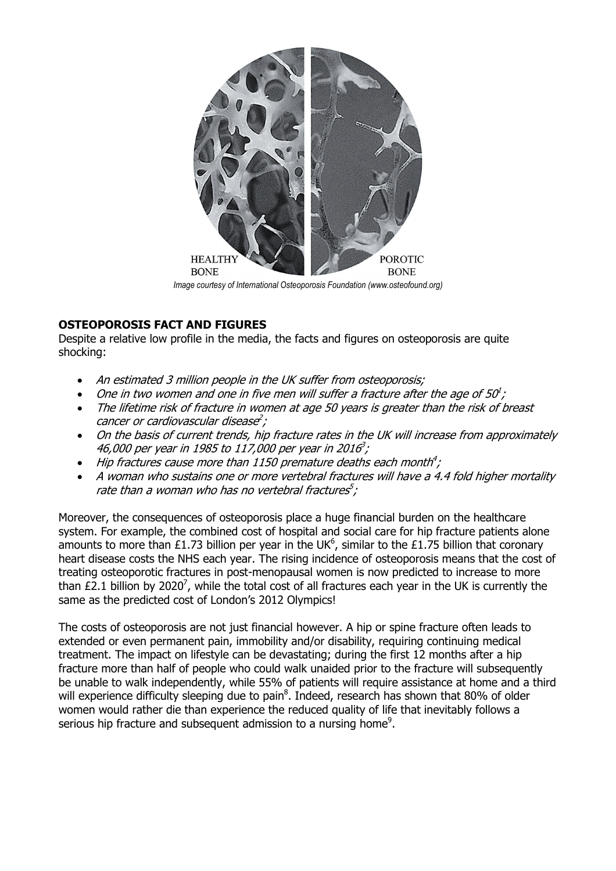

Image courtesy of International Osteoporosis Foundation (www.osteofound.org)

# OSTEOPOROSIS FACT AND FIGURES

Despite a relative low profile in the media, the facts and figures on osteoporosis are quite shocking:

- An estimated 3 million people in the UK suffer from osteoporosis:
- One in two women and one in five men will suffer a fracture after the age of  $50^1$ ;
- The lifetime risk of fracture in women at age 50 years is greater than the risk of breast cancer or cardiovascular disease<sup>2</sup>;
- On the basis of current trends, hip fracture rates in the UK will increase from approximately 46,000 per year in 1985 to 117,000 per year in 2016<sup>3</sup>;
- Hip fractures cause more than 1150 premature deaths each month<sup>4</sup>;
- A woman who sustains one or more vertebral fractures will have a 4.4 fold higher mortality rate than a woman who has no vertebral fractures $^5\!$  ;

Moreover, the consequences of osteoporosis place a huge financial burden on the healthcare system. For example, the combined cost of hospital and social care for hip fracture patients alone amounts to more than £1.73 billion per year in the UK<sup>6</sup>, similar to the £1.75 billion that coronary heart disease costs the NHS each year. The rising incidence of osteoporosis means that the cost of treating osteoporotic fractures in post-menopausal women is now predicted to increase to more than £2.1 billion by 2020<sup>7</sup>, while the total cost of all fractures each year in the UK is currently the same as the predicted cost of London's 2012 Olympics!

The costs of osteoporosis are not just financial however. A hip or spine fracture often leads to extended or even permanent pain, immobility and/or disability, requiring continuing medical treatment. The impact on lifestyle can be devastating; during the first 12 months after a hip fracture more than half of people who could walk unaided prior to the fracture will subsequently be unable to walk independently, while 55% of patients will require assistance at home and a third will experience difficulty sleeping due to pain ${}^{8}$ . Indeed, research has shown that 80% of older women would rather die than experience the reduced quality of life that inevitably follows a serious hip fracture and subsequent admission to a nursing home<sup>9</sup>.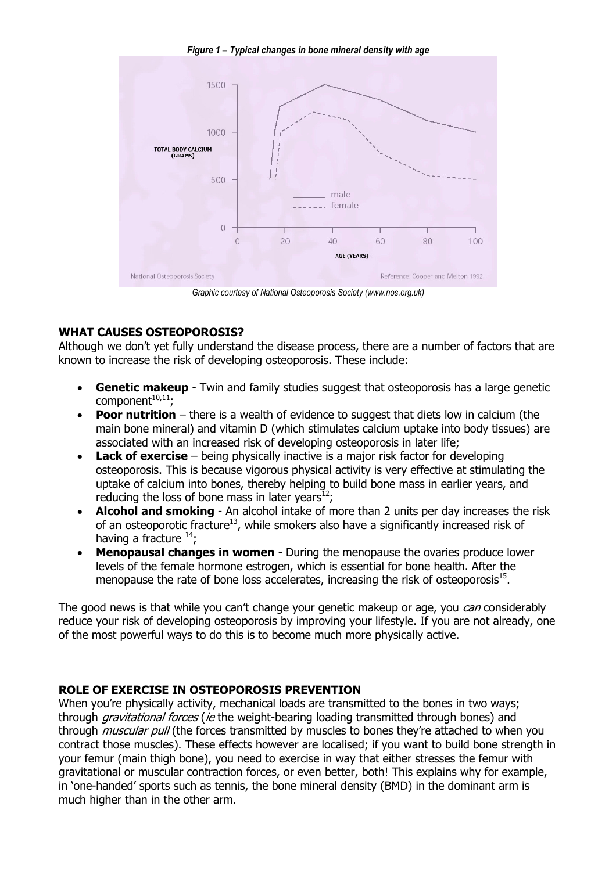Figure 1 – Typical changes in bone mineral density with age



Graphic courtesy of National Osteoporosis Society (www.nos.org.uk)

## WHAT CAUSES OSTEOPOROSIS?

Although we don't yet fully understand the disease process, there are a number of factors that are known to increase the risk of developing osteoporosis. These include:

- Genetic makeup Twin and family studies suggest that osteoporosis has a large genetic component $10,11$ ;
- **Poor nutrition** there is a wealth of evidence to suggest that diets low in calcium (the main bone mineral) and vitamin D (which stimulates calcium uptake into body tissues) are associated with an increased risk of developing osteoporosis in later life;
- Lack of exercise  $-$  being physically inactive is a major risk factor for developing osteoporosis. This is because vigorous physical activity is very effective at stimulating the uptake of calcium into bones, thereby helping to build bone mass in earlier years, and reducing the loss of bone mass in later years $^{12}$ ;
- Alcohol and smoking An alcohol intake of more than 2 units per day increases the risk of an osteoporotic fracture<sup>13</sup>, while smokers also have a significantly increased risk of having a fracture  $^{14}$ :
- Menopausal changes in women During the menopause the ovaries produce lower levels of the female hormone estrogen, which is essential for bone health. After the menopause the rate of bone loss accelerates, increasing the risk of osteoporosis $^{15}$ .

The good news is that while you can't change your genetic makeup or age, you *can* considerably reduce your risk of developing osteoporosis by improving your lifestyle. If you are not already, one of the most powerful ways to do this is to become much more physically active.

#### ROLE OF EXERCISE IN OSTEOPOROSIS PREVENTION

When you're physically activity, mechanical loads are transmitted to the bones in two ways; through *gravitational forces (ie* the weight-bearing loading transmitted through bones) and through *muscular pull* (the forces transmitted by muscles to bones they're attached to when you contract those muscles). These effects however are localised; if you want to build bone strength in your femur (main thigh bone), you need to exercise in way that either stresses the femur with gravitational or muscular contraction forces, or even better, both! This explains why for example, in 'one-handed' sports such as tennis, the bone mineral density (BMD) in the dominant arm is much higher than in the other arm.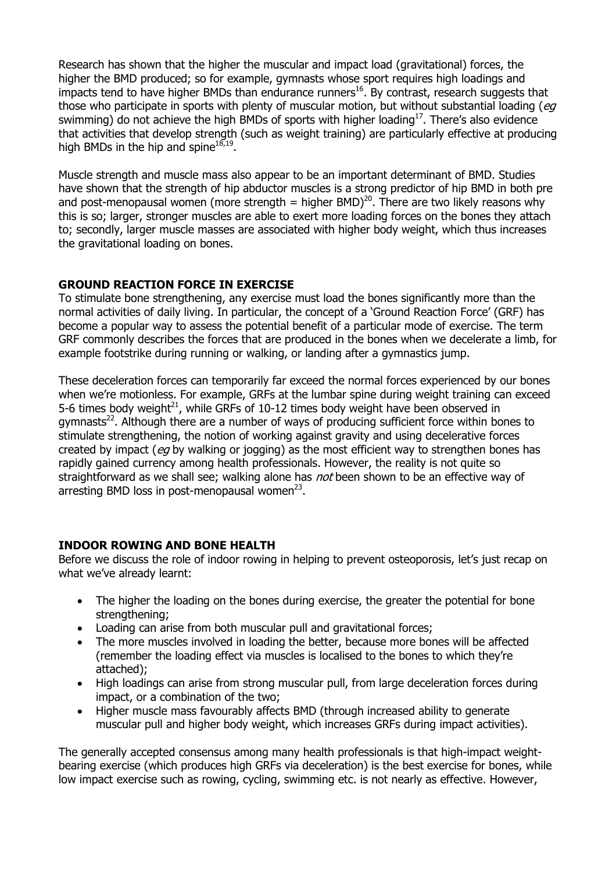Research has shown that the higher the muscular and impact load (gravitational) forces, the higher the BMD produced; so for example, gymnasts whose sport requires high loadings and impacts tend to have higher BMDs than endurance runners<sup>16</sup>. By contrast, research suggests that those who participate in sports with plenty of muscular motion, but without substantial loading ( $eg$ swimming) do not achieve the high BMDs of sports with higher loading<sup>17</sup>. There's also evidence that activities that develop strength (such as weight training) are particularly effective at producing high BMDs in the hip and spine $^{18,19}$ .

Muscle strength and muscle mass also appear to be an important determinant of BMD. Studies have shown that the strength of hip abductor muscles is a strong predictor of hip BMD in both pre and post-menopausal women (more strength = higher BMD)<sup>20</sup>. There are two likely reasons why this is so; larger, stronger muscles are able to exert more loading forces on the bones they attach to; secondly, larger muscle masses are associated with higher body weight, which thus increases the gravitational loading on bones.

# GROUND REACTION FORCE IN EXERCISE

To stimulate bone strengthening, any exercise must load the bones significantly more than the normal activities of daily living. In particular, the concept of a 'Ground Reaction Force' (GRF) has become a popular way to assess the potential benefit of a particular mode of exercise. The term GRF commonly describes the forces that are produced in the bones when we decelerate a limb, for example footstrike during running or walking, or landing after a gymnastics jump.

These deceleration forces can temporarily far exceed the normal forces experienced by our bones when we're motionless. For example, GRFs at the lumbar spine during weight training can exceed 5-6 times body weight $^{21}$ , while GRFs of 10-12 times body weight have been observed in gymnasts<sup>22</sup>. Although there are a number of ways of producing sufficient force within bones to stimulate strengthening, the notion of working against gravity and using decelerative forces created by impact (eg by walking or jogging) as the most efficient way to strengthen bones has rapidly gained currency among health professionals. However, the reality is not quite so straightforward as we shall see; walking alone has *not* been shown to be an effective way of arresting BMD loss in post-menopausal women $^{23}$ .

## INDOOR ROWING AND BONE HEALTH

Before we discuss the role of indoor rowing in helping to prevent osteoporosis, let's just recap on what we've already learnt:

- The higher the loading on the bones during exercise, the greater the potential for bone strengthening;
- Loading can arise from both muscular pull and gravitational forces;
- The more muscles involved in loading the better, because more bones will be affected (remember the loading effect via muscles is localised to the bones to which they're attached);
- High loadings can arise from strong muscular pull, from large deceleration forces during impact, or a combination of the two;
- Higher muscle mass favourably affects BMD (through increased ability to generate muscular pull and higher body weight, which increases GRFs during impact activities).

The generally accepted consensus among many health professionals is that high-impact weightbearing exercise (which produces high GRFs via deceleration) is the best exercise for bones, while low impact exercise such as rowing, cycling, swimming etc. is not nearly as effective. However,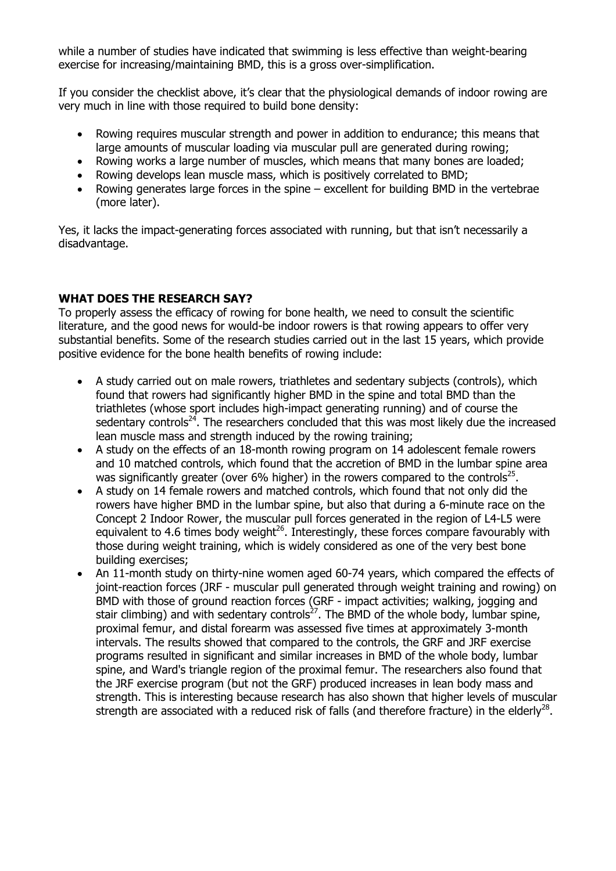while a number of studies have indicated that swimming is less effective than weight-bearing exercise for increasing/maintaining BMD, this is a gross over-simplification.

If you consider the checklist above, it's clear that the physiological demands of indoor rowing are very much in line with those required to build bone density:

- Rowing requires muscular strength and power in addition to endurance; this means that large amounts of muscular loading via muscular pull are generated during rowing;
- Rowing works a large number of muscles, which means that many bones are loaded;
- Rowing develops lean muscle mass, which is positively correlated to BMD;
- Rowing generates large forces in the spine excellent for building BMD in the vertebrae (more later).

Yes, it lacks the impact-generating forces associated with running, but that isn't necessarily a disadvantage.

## WHAT DOES THE RESEARCH SAY?

To properly assess the efficacy of rowing for bone health, we need to consult the scientific literature, and the good news for would-be indoor rowers is that rowing appears to offer very substantial benefits. Some of the research studies carried out in the last 15 years, which provide positive evidence for the bone health benefits of rowing include:

- A study carried out on male rowers, triathletes and sedentary subjects (controls), which found that rowers had significantly higher BMD in the spine and total BMD than the triathletes (whose sport includes high-impact generating running) and of course the sedentary controls<sup>24</sup>. The researchers concluded that this was most likely due the increased lean muscle mass and strength induced by the rowing training;
- A study on the effects of an 18-month rowing program on 14 adolescent female rowers and 10 matched controls, which found that the accretion of BMD in the lumbar spine area was significantly greater (over 6% higher) in the rowers compared to the controls<sup>25</sup>.
- A study on 14 female rowers and matched controls, which found that not only did the rowers have higher BMD in the lumbar spine, but also that during a 6-minute race on the Concept 2 Indoor Rower, the muscular pull forces generated in the region of L4-L5 were equivalent to 4.6 times body weight<sup>26</sup>. Interestingly, these forces compare favourably with those during weight training, which is widely considered as one of the very best bone building exercises;
- An 11-month study on thirty-nine women aged 60-74 years, which compared the effects of joint-reaction forces (JRF - muscular pull generated through weight training and rowing) on BMD with those of ground reaction forces (GRF - impact activities; walking, jogging and stair climbing) and with sedentary controls $27$ . The BMD of the whole body, lumbar spine, proximal femur, and distal forearm was assessed five times at approximately 3-month intervals. The results showed that compared to the controls, the GRF and JRF exercise programs resulted in significant and similar increases in BMD of the whole body, lumbar spine, and Ward's triangle region of the proximal femur. The researchers also found that the JRF exercise program (but not the GRF) produced increases in lean body mass and strength. This is interesting because research has also shown that higher levels of muscular strength are associated with a reduced risk of falls (and therefore fracture) in the elderly<sup>28</sup>.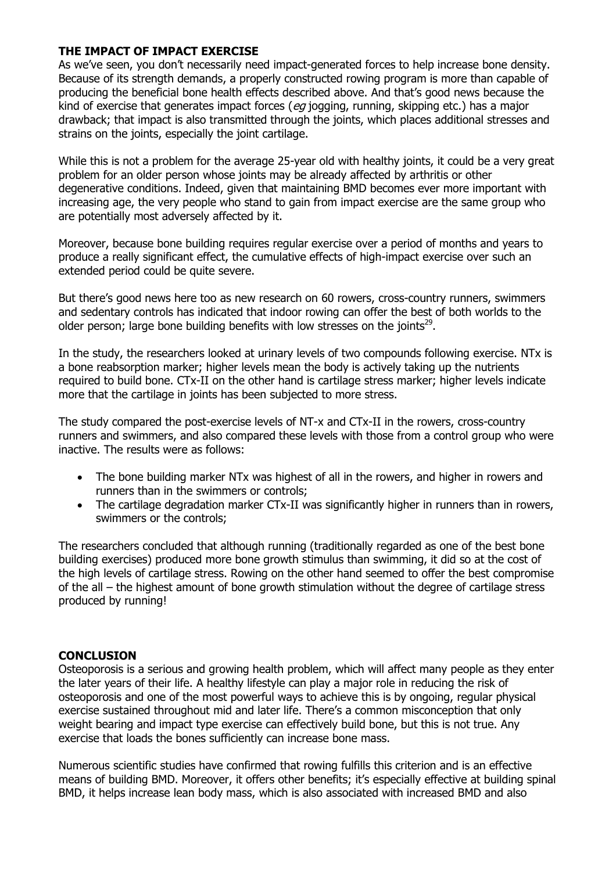## THE IMPACT OF IMPACT EXERCISE

As we've seen, you don't necessarily need impact-generated forces to help increase bone density. Because of its strength demands, a properly constructed rowing program is more than capable of producing the beneficial bone health effects described above. And that's good news because the kind of exercise that generates impact forces ( $eg$  jogging, running, skipping etc.) has a major drawback; that impact is also transmitted through the joints, which places additional stresses and strains on the joints, especially the joint cartilage.

While this is not a problem for the average 25-year old with healthy joints, it could be a very great problem for an older person whose joints may be already affected by arthritis or other degenerative conditions. Indeed, given that maintaining BMD becomes ever more important with increasing age, the very people who stand to gain from impact exercise are the same group who are potentially most adversely affected by it.

Moreover, because bone building requires regular exercise over a period of months and years to produce a really significant effect, the cumulative effects of high-impact exercise over such an extended period could be quite severe.

But there's good news here too as new research on 60 rowers, cross-country runners, swimmers and sedentary controls has indicated that indoor rowing can offer the best of both worlds to the older person; large bone building benefits with low stresses on the joints<sup>29</sup>.

In the study, the researchers looked at urinary levels of two compounds following exercise. NTx is a bone reabsorption marker; higher levels mean the body is actively taking up the nutrients required to build bone. CTx-II on the other hand is cartilage stress marker; higher levels indicate more that the cartilage in joints has been subjected to more stress.

The study compared the post-exercise levels of NT-x and CTx-II in the rowers, cross-country runners and swimmers, and also compared these levels with those from a control group who were inactive. The results were as follows:

- The bone building marker NTx was highest of all in the rowers, and higher in rowers and runners than in the swimmers or controls;
- The cartilage degradation marker CTx-II was significantly higher in runners than in rowers, swimmers or the controls;

The researchers concluded that although running (traditionally regarded as one of the best bone building exercises) produced more bone growth stimulus than swimming, it did so at the cost of the high levels of cartilage stress. Rowing on the other hand seemed to offer the best compromise of the all – the highest amount of bone growth stimulation without the degree of cartilage stress produced by running!

#### **CONCLUSION**

Osteoporosis is a serious and growing health problem, which will affect many people as they enter the later years of their life. A healthy lifestyle can play a major role in reducing the risk of osteoporosis and one of the most powerful ways to achieve this is by ongoing, regular physical exercise sustained throughout mid and later life. There's a common misconception that only weight bearing and impact type exercise can effectively build bone, but this is not true. Any exercise that loads the bones sufficiently can increase bone mass.

Numerous scientific studies have confirmed that rowing fulfills this criterion and is an effective means of building BMD. Moreover, it offers other benefits; it's especially effective at building spinal BMD, it helps increase lean body mass, which is also associated with increased BMD and also